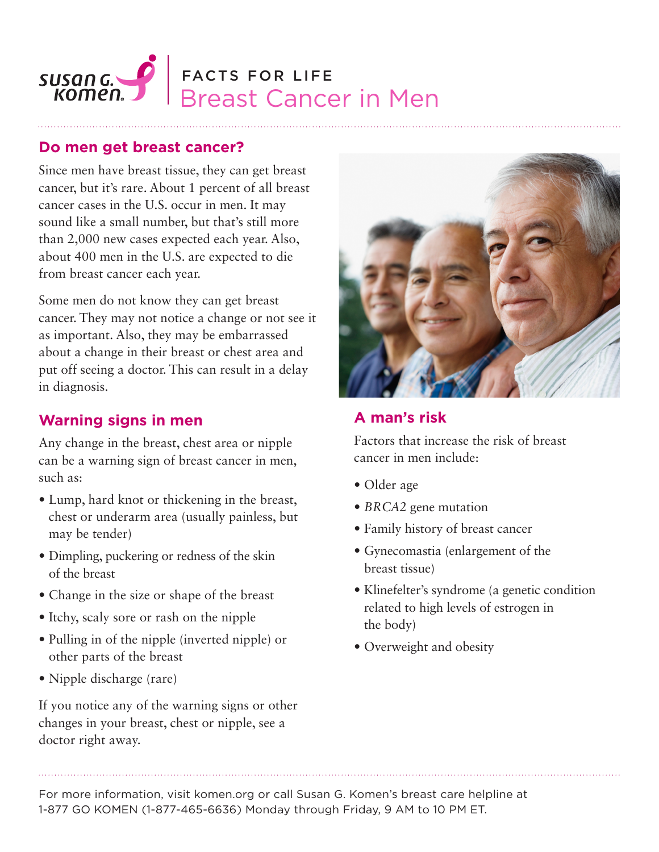

#### **Do men get breast cancer?**

Since men have breast tissue, they can get breast cancer, but it's rare. About 1 percent of all breast cancer cases in the U.S. occur in men. It may sound like a small number, but that's still more than 2,000 new cases expected each year. Also, about 400 men in the U.S. are expected to die from breast cancer each year.

Some men do not know they can get breast cancer. They may not notice a change or not see it as important. Also, they may be embarrassed about a change in their breast or chest area and put off seeing a doctor. This can result in a delay in diagnosis.

## **Warning signs in men**

Any change in the breast, chest area or nipple can be a warning sign of breast cancer in men, such as:

- Lump, hard knot or thickening in the breast, chest or underarm area (usually painless, but may be tender)
- Dimpling, puckering or redness of the skin of the breast
- Change in the size or shape of the breast
- Itchy, scaly sore or rash on the nipple
- Pulling in of the nipple (inverted nipple) or other parts of the breast
- Nipple discharge (rare)

If you notice any of the warning signs or other changes in your breast, chest or nipple, see a doctor right away.



# **A man's risk**

Factors that increase the risk of breast cancer in men include:

- Older age
- *BRCA2* gene mutation
- Family history of breast cancer
- Gynecomastia (enlargement of the breast tissue)
- Klinefelter's syndrome (a genetic condition related to high levels of estrogen in the body)
- Overweight and obesity

For more information, visit komen.org or call Susan G. Komen's breast care helpline at 1-877 GO KOMEN (1-877-465-6636) Monday through Friday, 9 AM to 10 PM ET.